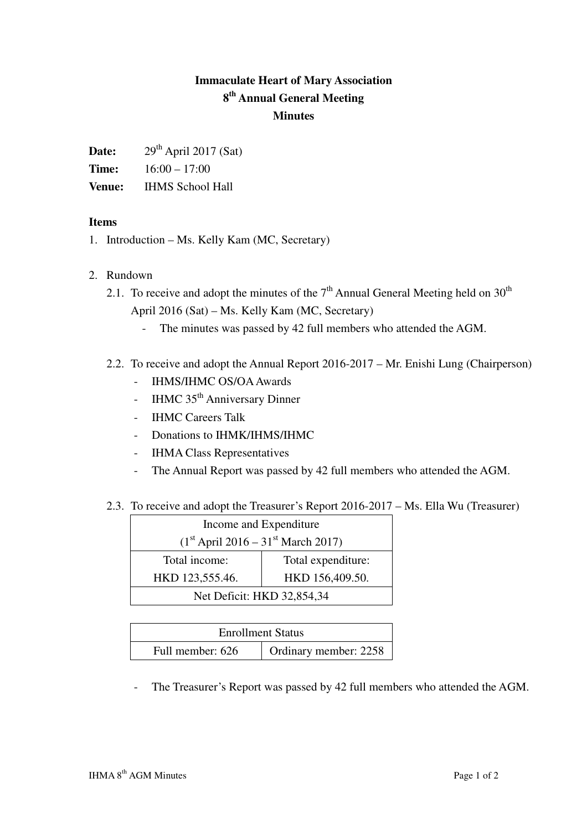## **Immaculate Heart of Mary Association 8 th Annual General Meeting Minutes**

| Date: | $29th$ April 2017 (Sat) |
|-------|-------------------------|
|-------|-------------------------|

**Time:** 16:00 – 17:00

**Venue:** IHMS School Hall

## **Items**

- 1. Introduction Ms. Kelly Kam (MC, Secretary)
- 2. Rundown
	- 2.1. To receive and adopt the minutes of the  $7<sup>th</sup>$  Annual General Meeting held on  $30<sup>th</sup>$ April 2016 (Sat) – Ms. Kelly Kam (MC, Secretary)
		- The minutes was passed by 42 full members who attended the AGM.
	- 2.2. To receive and adopt the Annual Report 2016-2017 Mr. Enishi Lung (Chairperson)
		- IHMS/IHMC OS/OA Awards
		- IHMC 35<sup>th</sup> Anniversary Dinner
		- IHMC Careers Talk
		- Donations to IHMK/IHMS/IHMC
		- IHMA Class Representatives
		- The Annual Report was passed by 42 full members who attended the AGM.
	- 2.3. To receive and adopt the Treasurer's Report 2016-2017 Ms. Ella Wu (Treasurer)

| Income and Expenditure                           |                    |  |
|--------------------------------------------------|--------------------|--|
| $(1st$ April 2016 – 31 <sup>st</sup> March 2017) |                    |  |
| Total income:                                    | Total expenditure: |  |
| HKD 123,555.46.                                  | HKD 156,409.50.    |  |
| Net Deficit: HKD 32,854,34                       |                    |  |

| <b>Enrollment Status</b> |                       |  |
|--------------------------|-----------------------|--|
| Full member: 626         | Ordinary member: 2258 |  |

- The Treasurer's Report was passed by 42 full members who attended the AGM.